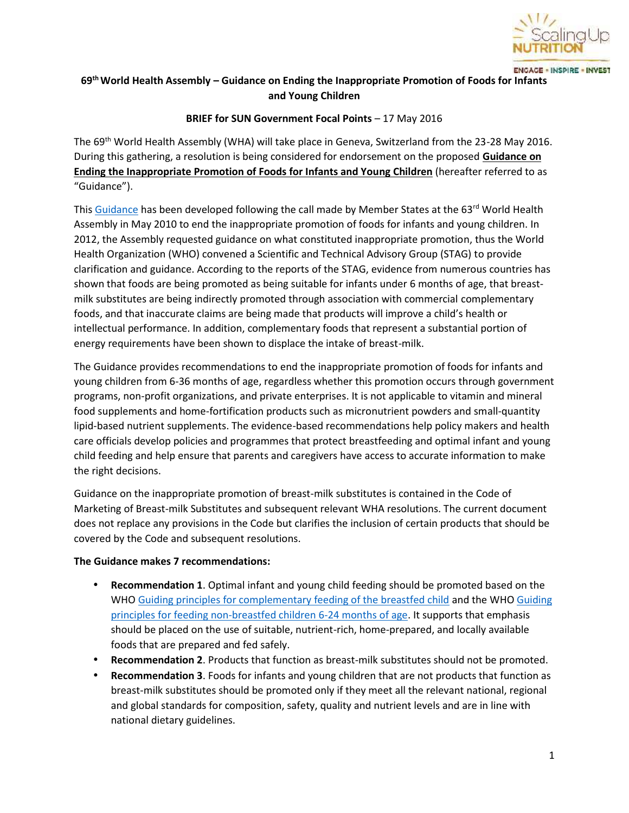

**ENCAGE - INSPIRE - INVEST** 

# **69thWorld Health Assembly – Guidance on Ending the Inappropriate Promotion of Foods for Infants and Young Children**

# **BRIEF for SUN Government Focal Points** – 17 May 2016

The 69th World Health Assembly (WHA) will take place in Geneva, Switzerland from the 23-28 May 2016. During this gathering, a resolution is being considered for endorsement on the proposed **Guidance on Ending the Inappropriate Promotion of Foods for Infants and Young Children** (hereafter referred to as "Guidance").

This Guidance has been developed following the call made by Member States at the 63rd World Health Assembly in May 2010 to end the inappropriate promotion of foods for infants and young children. In 2012, the Assembly requested guidance on what constituted inappropriate promotion, thus the World Health Organization (WHO) convened a Scientific and Technical Advisory Group (STAG) to provide clarification and guidance. According to the reports of the STAG, evidence from numerous countries has shown that foods are being promoted as being suitable for infants under 6 months of age, that breast milk substitutes are being indirectly promoted through association with commercial complementary foods, and that inaccurate claims are being made that products will improve a child's health or intellectual performance. In addition, complementary foods that represent a substantial portion of energy requirements have been shown to displace the intake of breast-milk.

The Guidance provides recommendations to end the inappropriate promotion of foods for infants and young children from 6-36 months of age, regardless whether this promotion occurs through government programs, non-profit organizations, and private enterprises. It is not applicable to vitamin and mineral food supplements and home-fortification products such as micronutrient powders and small-quantity lipid-based nutrient supplements. The evidence-based recommendations help policy makers and health care officials develop policies and programmes that protect breastfeeding and optimal infant and young child feeding and help ensure that parents and caregivers have access to accurate information to make the right decisions.

Guidance on the inappropriate promotion of breast-milk substitutes is contained in the Code of Marketing of Breast-milk Substitutes and subsequent relevant WHA resolutions. The current document does not replace any provisions in the Code but clarifies the inclusion of certain products that should be covered by the Code and subsequent resolutions.

# **The Guidance makes 7 recommendations:**

- **Recommendation 1**. Optimal infant and young child feeding should be promoted based on the WHO Guiding principles for complementary feeding of the breastfed child and the WHO Guiding principles for feeding non-breastfed children 6-24 months of age. It supports that emphasis should be placed on the use of suitable, nutrient-rich, home-prepared, and locally available foods that are prepared and fed safely.
- **Recommendation 2**. Products that function as breast-milk substitutes should not be promoted.
- **Recommendation 3**. Foods for infants and young children that are not products that function as breast-milk substitutes should be promoted only if they meet all the relevant national, regional and global standards for composition, safety, quality and nutrient levels and are in line with national dietary guidelines.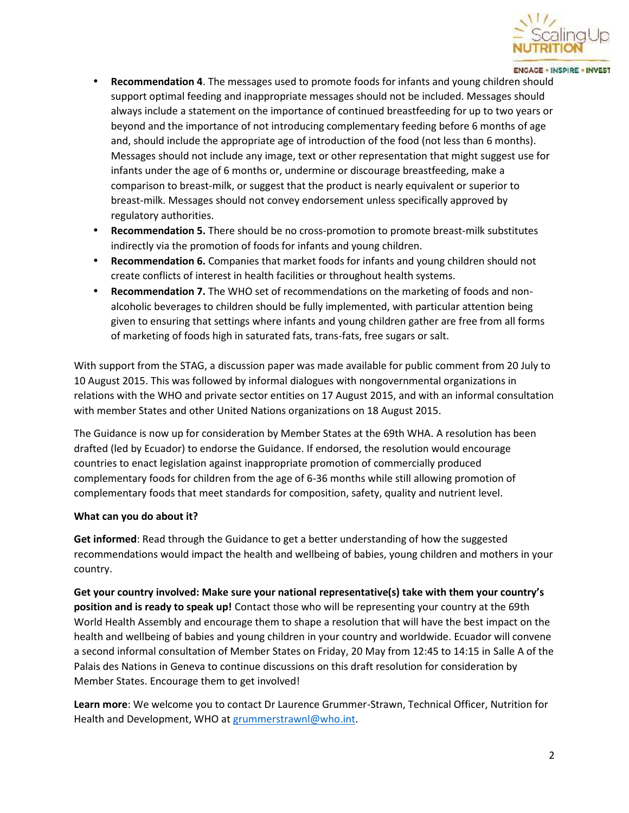

#### **ENGAGE - INSPIRE - INVEST**

- **Recommendation 4**. The messages used to promote foods for infants and young children should support optimal feeding and inappropriate messages should not be included. Messages should always include a statement on the importance of continued breastfeeding for up to two years or beyond and the importance of not introducing complementary feeding before 6 months of age and, should include the appropriate age of introduction of the food (not less than 6 months). Messages should not include any image, text or other representation that might suggest use for infants under the age of 6 months or, undermine or discourage breastfeeding, make a comparison to breast-milk, or suggest that the product is nearly equivalent or superior to breast-milk. Messages should not convey endorsement unless specifically approved by regulatory authorities.
- **Recommendation 5.** There should be no cross-promotion to promote breast-milk substitutes indirectly via the promotion of foods for infants and young children.
- **Recommendation 6.** Companies that market foods for infants and young children should not create conflicts of interest in health facilities or throughout health systems.
- **Recommendation 7.** The WHO set of recommendations on the marketing of foods and non alcoholic beverages to children should be fully implemented, with particular attention being given to ensuring that settings where infants and young children gather are free from all forms of marketing of foods high in saturated fats, trans-fats, free sugars or salt.

With support from the STAG, a discussion paper was made available for public comment from 20 July to 10 August 2015. This was followed by informal dialogues with nongovernmental organizations in relations with the WHO and private sector entities on 17 August 2015, and with an informal consultation with member States and other United Nations organizations on 18 August 2015.

The Guidance is now up for consideration by Member States at the 69th WHA. A resolution has been drafted (led by Ecuador) to endorse the Guidance. If endorsed, the resolution would encourage countries to enact legislation against inappropriate promotion of commercially produced complementary foods for children from the age of 6-36 months while still allowing promotion of complementary foods that meet standards for composition, safety, quality and nutrient level.

### **What can you do about it?**

**Get informed**: Read through the Guidance to get a better understanding of how the suggested recommendations would impact the health and wellbeing of babies, young children and mothers in your country.

**Get your country involved: Make sure your national representative(s) take with them your country's position and is ready to speak up!** Contact those who will be representing your country at the 69th World Health Assembly and encourage them to shape a resolution that will have the best impact on the health and wellbeing of babies and young children in your country and worldwide. Ecuador will convene a second informal consultation of Member States on Friday, 20 May from 12:45 to 14:15 in Salle A of the Palais des Nations in Geneva to continue discussions on this draft resolution for consideration by Member States. Encourage them to get involved!

**Learn more**: We welcome you to contact Dr Laurence Grummer-Strawn, Technical Officer, Nutrition for Health and Development, WHO at grummerstrawnl@who.int.